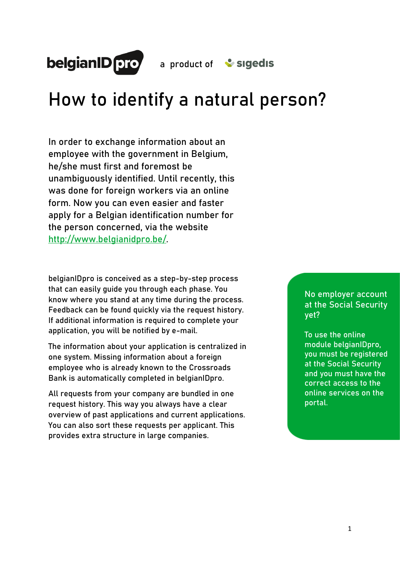

a product of **v** sigedis

## How to identify a natural person?

In order to exchange information about an employee with the government in Belgium, he/she must first and foremost be unambiguously identified. Until recently, this was done for foreign workers via an online form. Now you can even easier and faster apply for a Belgian identification number for the person concerned, via the website [http://www.belgianidpro.be/.](http://www.belgianidpro.be/)

belgianIDpro is conceived as a step-by-step process that can easily guide you through each phase. You know where you stand at any time during the process. Feedback can be found quickly via the request history. If additional information is required to complete your application, you will be notified by e-mail.

The information about your application is centralized in one system. Missing information about a foreign employee who is already known to the Crossroads Bank is automatically completed in belgianIDpro.

All requests from your company are bundled in one request history. This way you always have a clear overview of past applications and current applications. You can also sort these requests per applicant. This provides extra structure in large companies.

#### No employer account at the Social Security yet?

To use the online module belgianIDpro, you must be registered at the Social Security and you must have the correct access to the online services on the portal.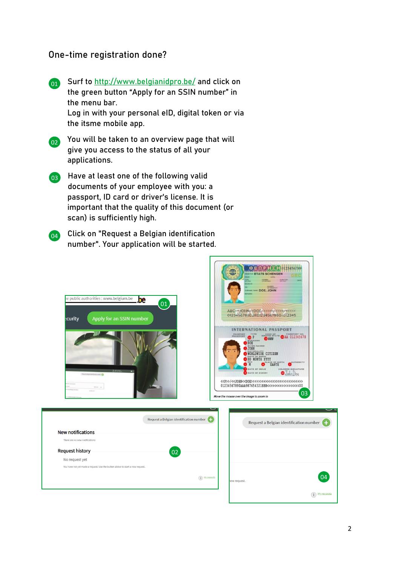#### One-time registration done?

Surf to <http://www.belgianidpro.be/> and click on the green button "Apply for an SSIN number" in the menu bar. Log in with your personal eID, digital token or via the itsme mobile app. 01

You will be taken to an overview page that will give you access to the status of all your applications. 02

Have at least one of the following valid documents of your employee with you: a passport, ID card or driver's license. It is important that the quality of this document (or scan) is sufficiently high. 03

 $_{04}$  Click on "Request a Belgian identification number". Your application will be started.

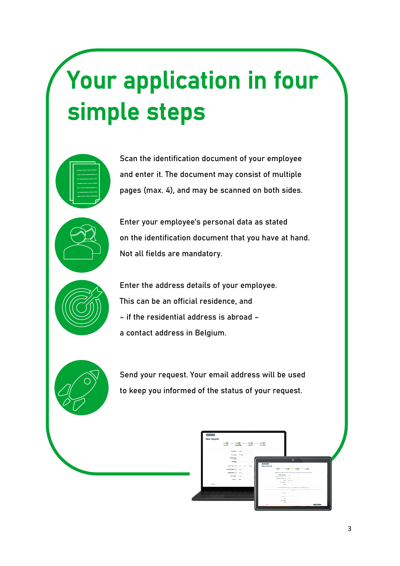# Your application in four simple steps



Scan the identification document of your employee and enter it. The document may consist of multiple pages (max. 4), and may be scanned on both sides.



Enter your employee's personal data as stated on the identification document that you have at hand. Not all fields are mandatory.



Enter the address details of your employee. This can be an official residence, and – if the residential address is abroad – a contact address in Belgium.



Send your request. Your email address will be used to keep you informed of the status of your request.